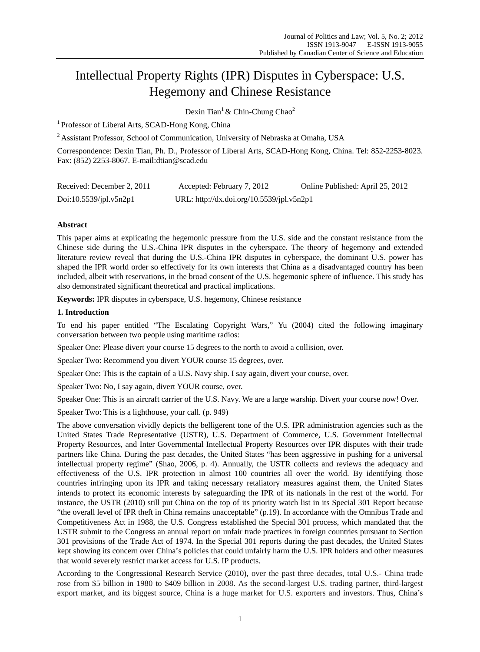# Intellectual Property Rights (IPR) Disputes in Cyberspace: U.S. Hegemony and Chinese Resistance

Dexin Tian<sup>1</sup> & Chin-Chung Chao<sup>2</sup>

<sup>1</sup> Professor of Liberal Arts, SCAD-Hong Kong, China

<sup>2</sup> Assistant Professor, School of Communication, University of Nebraska at Omaha, USA

Correspondence: Dexin Tian, Ph. D., Professor of Liberal Arts, SCAD-Hong Kong, China. Tel: 852-2253-8023. Fax: (852) 2253-8067. E-mail:dtian@scad.edu

| Received: December 2, 2011 | Accepted: February 7, 2012                | Online Published: April 25, 2012 |
|----------------------------|-------------------------------------------|----------------------------------|
| Doi: $10.5539$ /jpl.v5n2p1 | URL: http://dx.doi.org/10.5539/jpl.v5n2p1 |                                  |

## **Abstract**

This paper aims at explicating the hegemonic pressure from the U.S. side and the constant resistance from the Chinese side during the U.S.-China IPR disputes in the cyberspace. The theory of hegemony and extended literature review reveal that during the U.S.-China IPR disputes in cyberspace, the dominant U.S. power has shaped the IPR world order so effectively for its own interests that China as a disadvantaged country has been included, albeit with reservations, in the broad consent of the U.S. hegemonic sphere of influence. This study has also demonstrated significant theoretical and practical implications.

**Keywords:** IPR disputes in cyberspace, U.S. hegemony, Chinese resistance

### **1. Introduction**

To end his paper entitled "The Escalating Copyright Wars," Yu (2004) cited the following imaginary conversation between two people using maritime radios:

Speaker One: Please divert your course 15 degrees to the north to avoid a collision, over.

Speaker Two: Recommend you divert YOUR course 15 degrees, over.

Speaker One: This is the captain of a U.S. Navy ship. I say again, divert your course, over.

Speaker Two: No, I say again, divert YOUR course, over.

Speaker One: This is an aircraft carrier of the U.S. Navy. We are a large warship. Divert your course now! Over.

Speaker Two: This is a lighthouse, your call. (p. 949)

The above conversation vividly depicts the belligerent tone of the U.S. IPR administration agencies such as the United States Trade Representative (USTR), U.S. Department of Commerce, U.S. Government Intellectual Property Resources, and Inter Governmental Intellectual Property Resources over IPR disputes with their trade partners like China. During the past decades, the United States "has been aggressive in pushing for a universal intellectual property regime" (Shao, 2006, p. 4). Annually, the USTR collects and reviews the adequacy and effectiveness of the U.S. IPR protection in almost 100 countries all over the world. By identifying those countries infringing upon its IPR and taking necessary retaliatory measures against them, the United States intends to protect its economic interests by safeguarding the IPR of its nationals in the rest of the world. For instance, the USTR (2010) still put China on the top of its priority watch list in its Special 301 Report because "the overall level of IPR theft in China remains unacceptable" (p.19). In accordance with the Omnibus Trade and Competitiveness Act in 1988, the U.S. Congress established the Special 301 process, which mandated that the USTR submit to the Congress an annual report on unfair trade practices in foreign countries pursuant to Section 301 provisions of the Trade Act of 1974. In the Special 301 reports during the past decades, the United States kept showing its concern over China's policies that could unfairly harm the U.S. IPR holders and other measures that would severely restrict market access for U.S. IP products.

According to the Congressional Research Service (2010), over the past three decades, total U.S.- China trade rose from \$5 billion in 1980 to \$409 billion in 2008. As the second-largest U.S. trading partner, third-largest export market, and its biggest source, China is a huge market for U.S. exporters and investors. Thus, China's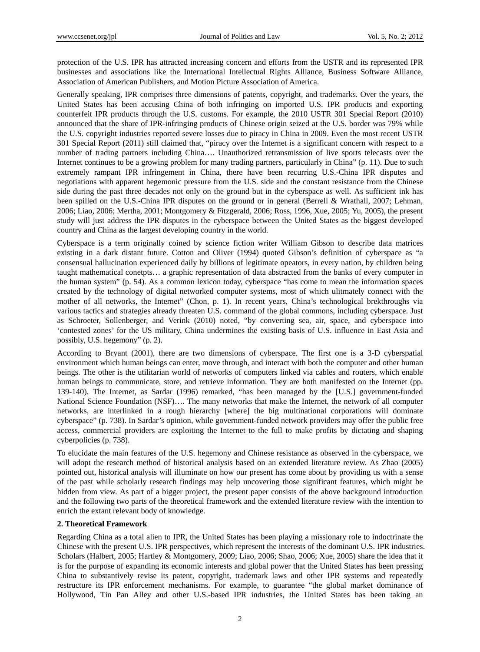protection of the U.S. IPR has attracted increasing concern and efforts from the USTR and its represented IPR businesses and associations like the International Intellectual Rights Alliance, Business Software Alliance, Association of American Publishers, and Motion Picture Association of America.

Generally speaking, IPR comprises three dimensions of patents, copyright, and trademarks. Over the years, the United States has been accusing China of both infringing on imported U.S. IPR products and exporting counterfeit IPR products through the U.S. customs. For example, the 2010 USTR 301 Special Report (2010) announced that the share of IPR-infringing products of Chinese origin seized at the U.S. border was 79% while the U.S. copyright industries reported severe losses due to piracy in China in 2009. Even the most recent USTR 301 Special Report (2011) still claimed that, "piracy over the Internet is a significant concern with respect to a number of trading partners including China…. Unauthorized retransmission of live sports telecasts over the Internet continues to be a growing problem for many trading partners, particularly in China" (p. 11). Due to such extremely rampant IPR infringement in China, there have been recurring U.S.-China IPR disputes and negotiations with apparent hegemonic pressure from the U.S. side and the constant resistance from the Chinese side during the past three decades not only on the ground but in the cyberspace as well. As sufficient ink has been spilled on the U.S.-China IPR disputes on the ground or in general (Berrell & Wrathall, 2007; Lehman, 2006; Liao, 2006; Mertha, 2001; Montgomery & Fitzgerald, 2006; Ross, 1996, Xue, 2005; Yu, 2005), the present study will just address the IPR disputes in the cyberspace between the United States as the biggest developed country and China as the largest developing country in the world.

Cyberspace is a term originally coined by science fiction writer William Gibson to describe data matrices existing in a dark distant future. Cotton and Oliver (1994) quoted Gibson's definition of cyberspace as "a consensual hallucination experienced daily by billions of legitimate opeators, in every nation, by children being taught mathematical conetpts… a graphic representation of data abstracted from the banks of every computer in the human system" (p. 54). As a common lexicon today, cyberspace "has come to mean the information spaces created by the technology of digital networked computer systems, most of which ulitmately connect with the mother of all networks, the Internet" (Chon, p. 1). In recent years, China's technological brekthroughs via various tactics and strategies already threaten U.S. command of the global commons, including cyberspace. Just as Schroeter, Sollenberger, and Verink (2010) noted, "by converting sea, air, space, and cyberspace into 'contested zones' for the US military, China undermines the existing basis of U.S. influence in East Asia and possibly, U.S. hegemony" (p. 2).

According to Bryant (2001), there are two dimensions of cyberspace. The first one is a 3-D cyberspatial environment which human beings can enter, move through, and interact with both the computer and other human beings. The other is the utilitarian world of networks of computers linked via cables and routers, which enable human beings to communicate, store, and retrieve information. They are both manifested on the Internet (pp. 139-140). The Internet, as Sardar (1996) remarked, "has been managed by the [U.S.] government-funded National Science Foundation (NSF)…. The many networks that make the Internet, the network of all computer networks, are interlinked in a rough hierarchy [where] the big multinational corporations will dominate cyberspace" (p. 738). In Sardar's opinion, while government-funded network providers may offer the public free access, commercial providers are exploiting the Internet to the full to make profits by dictating and shaping cyberpolicies (p. 738).

To elucidate the main features of the U.S. hegemony and Chinese resistance as observed in the cyberspace, we will adopt the research method of historical analysis based on an extended literature review. As Zhao (2005) pointed out, historical analysis will illuminate on how our present has come about by providing us with a sense of the past while scholarly research findings may help uncovering those significant features, which might be hidden from view. As part of a bigger project, the present paper consists of the above background introduction and the following two parts of the theoretical framework and the extended literature review with the intention to enrich the extant relevant body of knowledge.

### **2. Theoretical Framework**

Regarding China as a total alien to IPR, the United States has been playing a missionary role to indoctrinate the Chinese with the present U.S. IPR perspectives, which represent the interests of the dominant U.S. IPR industries. Scholars (Halbert, 2005; Hartley & Montgomery, 2009; Liao, 2006; Shao, 2006; Xue, 2005) share the idea that it is for the purpose of expanding its economic interests and global power that the United States has been pressing China to substantively revise its patent, copyright, trademark laws and other IPR systems and repeatedly restructure its IPR enforcement mechanisms. For example, to guarantee "the global market dominance of Hollywood, Tin Pan Alley and other U.S.-based IPR industries, the United States has been taking an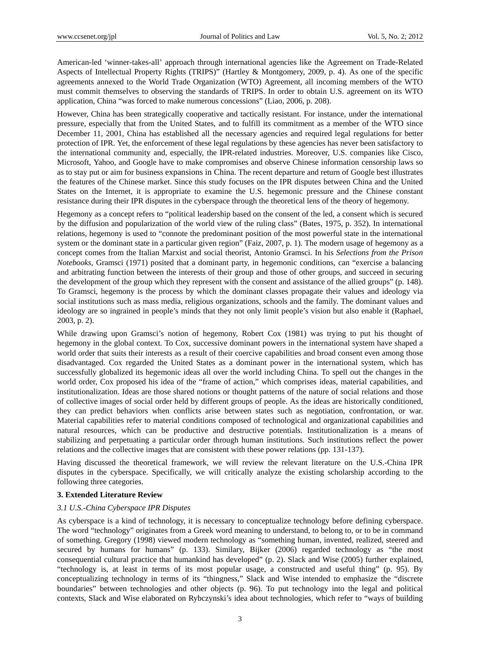American-led 'winner-takes-all' approach through international agencies like the Agreement on Trade-Related Aspects of Intellectual Property Rights (TRIPS)" (Hartley & Montgomery, 2009, p. 4). As one of the specific agreements annexed to the World Trade Organization (WTO) Agreement, all incoming members of the WTO must commit themselves to observing the standards of TRIPS. In order to obtain U.S. agreement on its WTO application, China "was forced to make numerous concessions" (Liao, 2006, p. 208).

However, China has been strategically cooperative and tactically resistant. For instance, under the international pressure, especially that from the United States, and to fulfill its commitment as a member of the WTO since December 11, 2001, China has established all the necessary agencies and required legal regulations for better protection of IPR. Yet, the enforcement of these legal regulations by these agencies has never been satisfactory to the international community and, especially, the IPR-related industries. Moreover, U.S. companies like Cisco, Microsoft, Yahoo, and Google have to make compromises and observe Chinese information censorship laws so as to stay put or aim for business expansions in China. The recent departure and return of Google best illustrates the features of the Chinese market. Since this study focuses on the IPR disputes between China and the United States on the Internet, it is appropriate to examine the U.S. hegemonic pressure and the Chinese constant resistance during their IPR disputes in the cyberspace through the theoretical lens of the theory of hegemony.

Hegemony as a concept refers to "political leadership based on the consent of the led, a consent which is secured by the diffusion and popularization of the world view of the ruling class" (Bates, 1975, p. 352). In international relations, hegemony is used to "connote the predominant position of the most powerful state in the international system or the dominant state in a particular given region" (Faiz, 2007, p. 1). The modern usage of hegemony as a concept comes from the Italian Marxist and social theorist, Antonio Gramsci. In his *Selections from the Prison Notebooks*, Gramsci (1971) posited that a dominant party, in hegemonic conditions, can "exercise a balancing and arbitrating function between the interests of their group and those of other groups, and succeed in securing the development of the group which they represent with the consent and assistance of the allied groups" (p. 148). To Gramsci, hegemony is the process by which the dominant classes propagate their values and ideology via social institutions such as mass media, religious organizations, schools and the family. The dominant values and ideology are so ingrained in people's minds that they not only limit people's vision but also enable it (Raphael, 2003, p. 2).

While drawing upon Gramsci's notion of hegemony, Robert Cox (1981) was trying to put his thought of hegemony in the global context. To Cox, successive dominant powers in the international system have shaped a world order that suits their interests as a result of their coercive capabilities and broad consent even among those disadvantaged. Cox regarded the United States as a dominant power in the international system, which has successfully globalized its hegemonic ideas all over the world including China. To spell out the changes in the world order, Cox proposed his idea of the "frame of action," which comprises ideas, material capabilities, and institutionalization. Ideas are those shared notions or thought patterns of the nature of social relations and those of collective images of social order held by different groups of people. As the ideas are historically conditioned, they can predict behaviors when conflicts arise between states such as negotiation, confrontation, or war. Material capabilities refer to material conditions composed of technological and organizational capabilities and natural resources, which can be productive and destructive potentials. Institutionalization is a means of stabilizing and perpetuating a particular order through human institutions. Such institutions reflect the power relations and the collective images that are consistent with these power relations (pp. 131-137).

Having discussed the theoretical framework, we will review the relevant literature on the U.S.-China IPR disputes in the cyberspace. Specifically, we will critically analyze the existing scholarship according to the following three categories.

### **3. Extended Literature Review**

### *3.1 U.S.-China Cyberspace IPR Disputes*

As cyberspace is a kind of technology, it is necessary to conceptualize technology before defining cyberspace. The word "technology" originates from a Greek word meaning to understand, to belong to, or to be in command of something. Gregory (1998) viewed modern technology as "something human, invented, realized, steered and secured by humans for humans" (p. 133). Similary, Bijker (2006) regarded technology as "the most consequential cultural practice that humankind has developed" (p. 2). Slack and Wise (2005) further explained, "technology is, at least in terms of its most popular usage, a constructed and useful thing" (p. 95). By conceptualizing technology in terms of its "thingness," Slack and Wise intended to emphasize the "discrete boundaries" between technologies and other objects (p. 96). To put technology into the legal and political contexts, Slack and Wise elaborated on Rybczynski's idea about technologies, which refer to "ways of building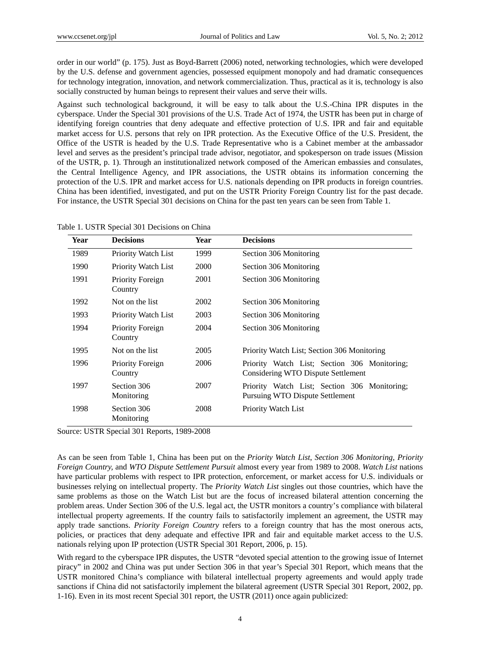order in our world" (p. 175). Just as Boyd-Barrett (2006) noted, networking technologies, which were developed by the U.S. defense and government agencies, possessed equipment monopoly and had dramatic consequences for technology integration, innovation, and network commercialization. Thus, practical as it is, technology is also socially constructed by human beings to represent their values and serve their wills.

Against such technological background, it will be easy to talk about the U.S.-China IPR disputes in the cyberspace. Under the Special 301 provisions of the U.S. Trade Act of 1974, the USTR has been put in charge of identifying foreign countries that deny adequate and effective protection of U.S. IPR and fair and equitable market access for U.S. persons that rely on IPR protection. As the Executive Office of the U.S. President, the Office of the USTR is headed by the U.S. Trade Representative who is a Cabinet member at the ambassador level and serves as the president's principal trade advisor, negotiator, and spokesperson on trade issues (Mission of the USTR, p. 1). Through an institutionalized network composed of the American embassies and consulates, the Central Intelligence Agency, and IPR associations, the USTR obtains its information concerning the protection of the U.S. IPR and market access for U.S. nationals depending on IPR products in foreign countries. China has been identified, investigated, and put on the USTR Priority Foreign Country list for the past decade. For instance, the USTR Special 301 decisions on China for the past ten years can be seen from Table 1.

| Table 1. USTR Special 301 Decisions on China |  |
|----------------------------------------------|--|
|----------------------------------------------|--|

| Year | <b>Decisions</b>            | Year | <b>Decisions</b>                                                                   |  |
|------|-----------------------------|------|------------------------------------------------------------------------------------|--|
| 1989 | Priority Watch List         | 1999 | Section 306 Monitoring                                                             |  |
| 1990 | Priority Watch List         | 2000 | Section 306 Monitoring                                                             |  |
| 1991 | Priority Foreign<br>Country | 2001 | Section 306 Monitoring                                                             |  |
| 1992 | Not on the list             | 2002 | Section 306 Monitoring                                                             |  |
| 1993 | Priority Watch List         | 2003 | Section 306 Monitoring                                                             |  |
| 1994 | Priority Foreign<br>Country | 2004 | Section 306 Monitoring                                                             |  |
| 1995 | Not on the list             | 2005 | Priority Watch List; Section 306 Monitoring                                        |  |
| 1996 | Priority Foreign<br>Country | 2006 | Priority Watch List; Section 306 Monitoring;<br>Considering WTO Dispute Settlement |  |
| 1997 | Section 306<br>Monitoring   | 2007 | Priority Watch List; Section 306 Monitoring;<br>Pursuing WTO Dispute Settlement    |  |
| 1998 | Section 306<br>Monitoring   | 2008 | Priority Watch List                                                                |  |

Source: USTR Special 301 Reports, 1989-2008

As can be seen from Table 1, China has been put on the *Priority Watch List*, *Section 306 Monitoring, Priority Foreign Country,* and *WTO Dispute Settlement Pursuit* almost every year from 1989 to 2008. *Watch List* nations have particular problems with respect to IPR protection, enforcement, or market access for U.S. individuals or businesses relying on intellectual property. The *Priority Watch List* singles out those countries, which have the same problems as those on the Watch List but are the focus of increased bilateral attention concerning the problem areas. Under Section 306 of the U.S. legal act, the USTR monitors a country's compliance with bilateral intellectual property agreements. If the country fails to satisfactorily implement an agreement, the USTR may apply trade sanctions. *Priority Foreign Country* refers to a foreign country that has the most onerous acts, policies, or practices that deny adequate and effective IPR and fair and equitable market access to the U.S. nationals relying upon IP protection (USTR Special 301 Report, 2006, p. 15).

With regard to the cyberspace IPR disputes, the USTR "devoted special attention to the growing issue of Internet piracy" in 2002 and China was put under Section 306 in that year's Special 301 Report, which means that the USTR monitored China's compliance with bilateral intellectual property agreements and would apply trade sanctions if China did not satisfactorily implement the bilateral agreement (USTR Special 301 Report, 2002, pp. 1-16). Even in its most recent Special 301 report, the USTR (2011) once again publicized: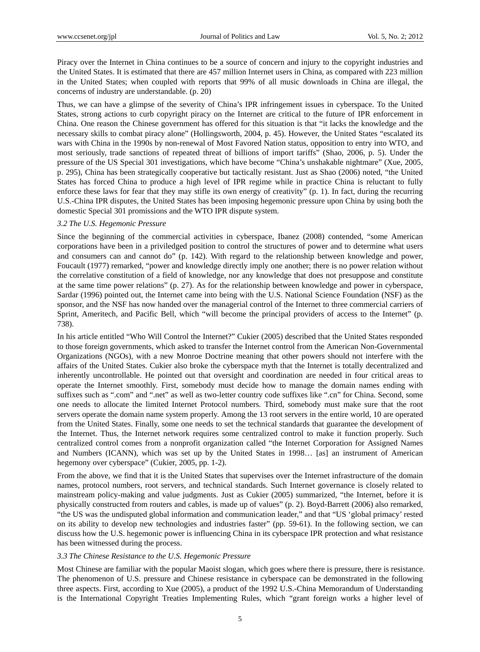Piracy over the Internet in China continues to be a source of concern and injury to the copyright industries and the United States. It is estimated that there are 457 million Internet users in China, as compared with 223 million in the United States; when coupled with reports that 99% of all music downloads in China are illegal, the concerns of industry are understandable. (p. 20)

Thus, we can have a glimpse of the severity of China's IPR infringement issues in cyberspace. To the United States, strong actions to curb copyright piracy on the Internet are critical to the future of IPR enforcement in China. One reason the Chinese government has offered for this situation is that "it lacks the knowledge and the necessary skills to combat piracy alone" (Hollingsworth, 2004, p. 45). However, the United States "escalated its wars with China in the 1990s by non-renewal of Most Favored Nation status, opposition to entry into WTO, and most seriously, trade sanctions of repeated threat of billions of import tariffs" (Shao, 2006, p. 5). Under the pressure of the US Special 301 investigations, which have become "China's unshakable nightmare" (Xue, 2005, p. 295), China has been strategically cooperative but tactically resistant. Just as Shao (2006) noted, "the United States has forced China to produce a high level of IPR regime while in practice China is reluctant to fully enforce these laws for fear that they may stifle its own energy of creativity" (p. 1). In fact, during the recurring U.S.-China IPR disputes, the United States has been imposing hegemonic pressure upon China by using both the domestic Special 301 promissions and the WTO IPR dispute system.

## *3.2 The U.S. Hegemonic Pressure*

Since the beginning of the commercial activities in cyberspace, Ibanez (2008) contended, "some American corporations have been in a priviledged position to control the structures of power and to determine what users and consumers can and cannot do" (p. 142). With regard to the relationship between knowledge and power, Foucault (1977) remarked, "power and knowledge directly imply one another; there is no power relation without the correlative constitution of a field of knowledge, nor any knowledge that does not presuppose and constitute at the same time power relations" (p. 27). As for the relationship between knowledge and power in cyberspace, Sardar (1996) pointed out, the Internet came into being with the U.S. National Science Foundation (NSF) as the sponsor, and the NSF has now handed over the managerial control of the Internet to three commercial carriers of Sprint, Ameritech, and Pacific Bell, which "will become the principal providers of access to the Internet" (p. 738).

In his article entitled "Who Will Control the Internet?" Cukier (2005) described that the United States responded to those foreign governments, which asked to transfer the Internet control from the American Non-Governmental Organizations (NGOs), with a new Monroe Doctrine meaning that other powers should not interfere with the affairs of the United States. Cukier also broke the cyberspace myth that the Internet is totally decentralized and inherently uncontrollable. He pointed out that oversight and coordination are needed in four critical areas to operate the Internet smoothly. First, somebody must decide how to manage the domain names ending with suffixes such as ".com" and ".net" as well as two-letter country code suffixes like ".cn" for China. Second, some one needs to allocate the limited Internet Protocol numbers. Third, somebody must make sure that the root servers operate the domain name system properly. Among the 13 root servers in the entire world, 10 are operated from the United States. Finally, some one needs to set the technical standards that guarantee the development of the Internet. Thus, the Internet network requires some centralized control to make it function properly. Such centralized control comes from a nonprofit organization called "the Internet Corporation for Assigned Names and Numbers (ICANN), which was set up by the United States in 1998… [as] an instrument of American hegemony over cyberspace" (Cukier, 2005, pp. 1-2).

From the above, we find that it is the United States that supervises over the Internet infrastructure of the domain names, protocol numbers, root servers, and technical standards. Such Internet governance is closely related to mainstream policy-making and value judgments. Just as Cukier (2005) summarized, "the Internet, before it is physically constructed from routers and cables, is made up of values" (p. 2). Boyd-Barrett (2006) also remarked, "the US was the undisputed global information and communication leader," and that "US 'global primacy' rested on its ability to develop new technologies and industries faster" (pp. 59-61). In the following section, we can discuss how the U.S. hegemonic power is influencing China in its cyberspace IPR protection and what resistance has been witnessed during the process.

### *3.3 The Chinese Resistance to the U.S. Hegemonic Pressure*

Most Chinese are familiar with the popular Maoist slogan, which goes where there is pressure, there is resistance. The phenomenon of U.S. pressure and Chinese resistance in cyberspace can be demonstrated in the following three aspects. First, according to Xue (2005), a product of the 1992 U.S.-China Memorandum of Understanding is the International Copyright Treaties Implementing Rules, which "grant foreign works a higher level of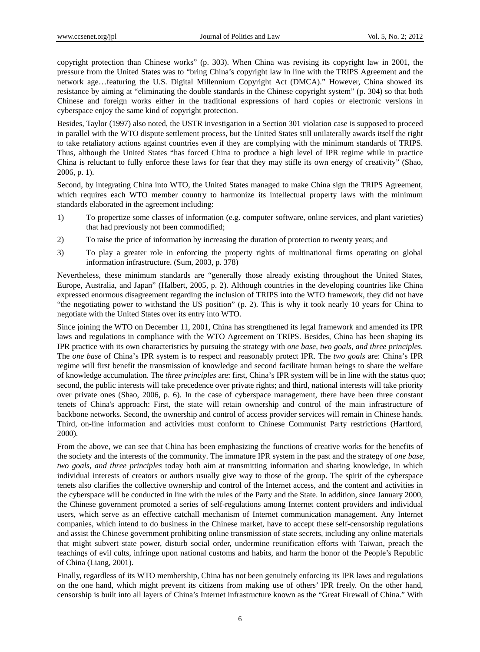copyright protection than Chinese works" (p. 303). When China was revising its copyright law in 2001, the pressure from the United States was to "bring China's copyright law in line with the TRIPS Agreement and the network age…featuring the U.S. Digital Millennium Copyright Act (DMCA)." However, China showed its resistance by aiming at "eliminating the double standards in the Chinese copyright system" (p. 304) so that both Chinese and foreign works either in the traditional expressions of hard copies or electronic versions in cyberspace enjoy the same kind of copyright protection.

Besides, Taylor (1997) also noted, the USTR investigation in a Section 301 violation case is supposed to proceed in parallel with the WTO dispute settlement process, but the United States still unilaterally awards itself the right to take retaliatory actions against countries even if they are complying with the minimum standards of TRIPS. Thus, although the United States "has forced China to produce a high level of IPR regime while in practice China is reluctant to fully enforce these laws for fear that they may stifle its own energy of creativity" (Shao, 2006, p. 1).

Second, by integrating China into WTO, the United States managed to make China sign the TRIPS Agreement, which requires each WTO member country to harmonize its intellectual property laws with the minimum standards elaborated in the agreement including:

- 1) To propertize some classes of information (e.g. computer software, online services, and plant varieties) that had previously not been commodified;
- 2) To raise the price of information by increasing the duration of protection to twenty years; and
- 3) To play a greater role in enforcing the property rights of multinational firms operating on global information infrastructure. (Sum, 2003, p. 378)

Nevertheless, these minimum standards are "generally those already existing throughout the United States, Europe, Australia, and Japan" (Halbert, 2005, p. 2). Although countries in the developing countries like China expressed enormous disagreement regarding the inclusion of TRIPS into the WTO framework, they did not have "the negotiating power to withstand the US position" (p. 2). This is why it took nearly 10 years for China to negotiate with the United States over its entry into WTO.

Since joining the WTO on December 11, 2001, China has strengthened its legal framework and amended its IPR laws and regulations in compliance with the WTO Agreement on TRIPS. Besides, China has been shaping its IPR practice with its own characteristics by pursuing the strategy with *one base, two goals, and three principles*. The *one base* of China's IPR system is to respect and reasonably protect IPR. The *two goals* are: China's IPR regime will first benefit the transmission of knowledge and second facilitate human beings to share the welfare of knowledge accumulation. The *three principles* are: first, China's IPR system will be in line with the status quo; second, the public interests will take precedence over private rights; and third, national interests will take priority over private ones (Shao, 2006, p. 6). In the case of cyberspace management, there have been three constant tenets of China's approach: First, the state will retain ownership and control of the main infrastructure of backbone networks. Second, the ownership and control of access provider services will remain in Chinese hands. Third, on-line information and activities must conform to Chinese Communist Party restrictions (Hartford, 2000).

From the above, we can see that China has been emphasizing the functions of creative works for the benefits of the society and the interests of the community. The immature IPR system in the past and the strategy of *one base, two goals, and three principles* today both aim at transmitting information and sharing knowledge, in which individual interests of creators or authors usually give way to those of the group. The spirit of the cyberspace tenets also clarifies the collective ownership and control of the Internet access, and the content and activities in the cyberspace will be conducted in line with the rules of the Party and the State. In addition, since January 2000, the Chinese government promoted a series of self-regulations among Internet content providers and individual users, which serve as an effective catchall mechanism of Internet communication management. Any Internet companies, which intend to do business in the Chinese market, have to accept these self-censorship regulations and assist the Chinese government prohibiting online transmission of state secrets, including any online materials that might subvert state power, disturb social order, undermine reunification efforts with Taiwan, preach the teachings of evil cults, infringe upon national customs and habits, and harm the honor of the People's Republic of China (Liang, 2001).

Finally, regardless of its WTO membership, China has not been genuinely enforcing its IPR laws and regulations on the one hand, which might prevent its citizens from making use of others' IPR freely. On the other hand, censorship is built into all layers of China's Internet infrastructure known as the "Great Firewall of China." With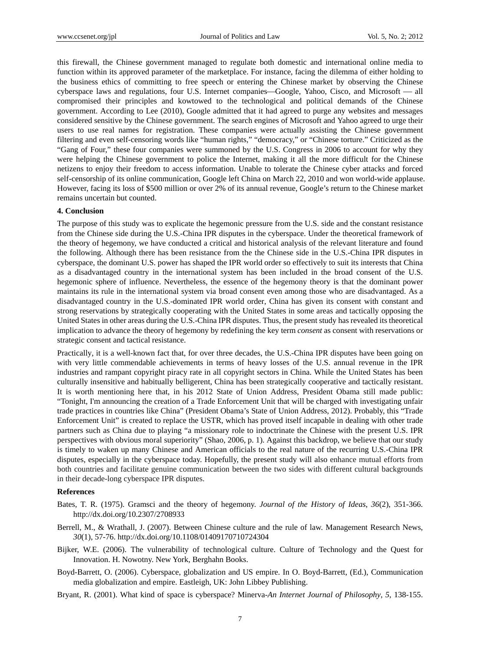this firewall, the Chinese government managed to regulate both domestic and international online media to function within its approved parameter of the marketplace. For instance, facing the dilemma of either holding to the business ethics of committing to free speech or entering the Chinese market by observing the Chinese cyberspace laws and regulations, four U.S. Internet companies—Google, Yahoo, Cisco, and Microsoft — all compromised their principles and kowtowed to the technological and political demands of the Chinese government. According to Lee (2010), Google admitted that it had agreed to purge any websites and messages considered sensitive by the Chinese government. The search engines of Microsoft and Yahoo agreed to urge their users to use real names for registration. These companies were actually assisting the Chinese government filtering and even self-censoring words like "human rights," "democracy," or "Chinese torture." Criticized as the "Gang of Four," these four companies were summoned by the U.S. Congress in 2006 to account for why they were helping the Chinese government to police the Internet, making it all the more difficult for the Chinese netizens to enjoy their freedom to access information. Unable to tolerate the Chinese cyber attacks and forced self-censorship of its online communication, Google left China on March 22, 2010 and won world-wide applause. However, facing its loss of \$500 million or over 2% of its annual revenue, Google's return to the Chinese market remains uncertain but counted.

#### **4. Conclusion**

The purpose of this study was to explicate the hegemonic pressure from the U.S. side and the constant resistance from the Chinese side during the U.S.-China IPR disputes in the cyberspace. Under the theoretical framework of the theory of hegemony, we have conducted a critical and historical analysis of the relevant literature and found the following. Although there has been resistance from the the Chinese side in the U.S.-China IPR disputes in cyberspace, the dominant U.S. power has shaped the IPR world order so effectively to suit its interests that China as a disadvantaged country in the international system has been included in the broad consent of the U.S. hegemonic sphere of influence. Nevertheless, the essence of the hegemony theory is that the dominant power maintains its rule in the international system via broad consent even among those who are disadvantaged. As a disadvantaged country in the U.S.-dominated IPR world order, China has given its consent with constant and strong reservations by strategically cooperating with the United States in some areas and tactically opposing the United States in other areas during the U.S.-China IPR disputes. Thus, the present study has revealed its theoretical implication to advance the theory of hegemony by redefining the key term *consent* as consent with reservations or strategic consent and tactical resistance.

Practically, it is a well-known fact that, for over three decades, the U.S.-China IPR disputes have been going on with very little commendable achievements in terms of heavy losses of the U.S. annual revenue in the IPR industries and rampant copyright piracy rate in all copyright sectors in China. While the United States has been culturally insensitive and habitually belligerent, China has been strategically cooperative and tactically resistant. It is worth mentioning here that, in his 2012 State of Union Address, President Obama still made public: "Tonight, I'm announcing the creation of a Trade Enforcement Unit that will be charged with investigating unfair trade practices in countries like China" (President Obama's State of Union Address, 2012). Probably, this "Trade Enforcement Unit" is created to replace the USTR, which has proved itself incapable in dealing with other trade partners such as China due to playing "a missionary role to indoctrinate the Chinese with the present U.S. IPR perspectives with obvious moral superiority" (Shao, 2006, p. 1). Against this backdrop, we believe that our study is timely to waken up many Chinese and American officials to the real nature of the recurring U.S.-China IPR disputes, especially in the cyberspace today. Hopefully, the present study will also enhance mutual efforts from both countries and facilitate genuine communication between the two sides with different cultural backgrounds in their decade-long cyberspace IPR disputes.

#### **References**

- Bates, T. R. (1975). Gramsci and the theory of hegemony. *Journal of the History of Ideas*, *36*(2), 351-366. http://dx.doi.org/10.2307/2708933
- Berrell, M., & Wrathall, J. (2007). Between Chinese culture and the rule of law. Management Research News, *30*(1), 57-76. http://dx.doi.org/10.1108/01409170710724304
- Bijker, W.E. (2006). The vulnerability of technological culture. Culture of Technology and the Quest for Innovation. H. Nowotny. New York, Berghahn Books.
- Boyd-Barrett, O. (2006). Cyberspace, globalization and US empire. In O. Boyd-Barrett, (Ed.), Communication media globalization and empire. Eastleigh, UK: John Libbey Publishing.
- Bryant, R. (2001). What kind of space is cyberspace? Minerva-*An Internet Journal of Philosophy*, *5*, 138-155.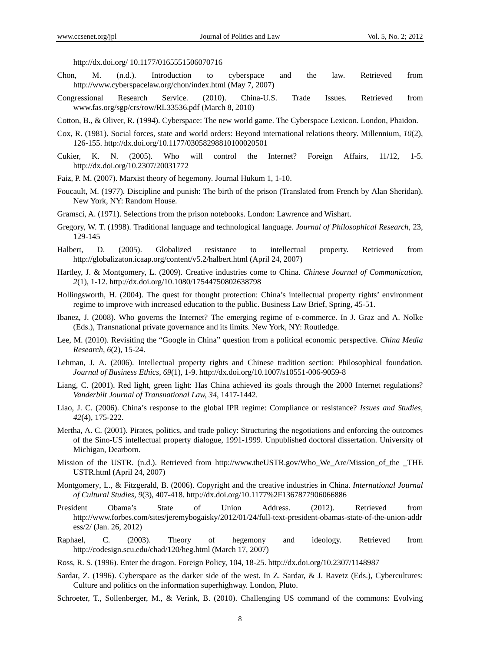http://dx.doi.org/ 10.1177/0165551506070716

- Chon, M. (n.d.). Introduction to cyberspace and the law. Retrieved from http://www.cyberspacelaw.org/chon/index.html (May 7, 2007)
- Congressional Research Service. (2010). China-U.S. Trade Issues. Retrieved from www.fas.org/sgp/crs/row/RL33536.pdf (March 8, 2010)
- Cotton, B., & Oliver, R. (1994). Cyberspace: The new world game. The Cyberspace Lexicon. London, Phaidon.
- Cox, R. (1981). Social forces, state and world orders: Beyond international relations theory. Millennium, *10*(2), 126-155. http://dx.doi.org/10.1177/03058298810100020501
- Cukier, K. N. (2005). Who will control the Internet? Foreign Affairs, 11/12, 1-5. http://dx.doi.org/10.2307/20031772
- Faiz, P. M. (2007). Marxist theory of hegemony. Journal Hukum 1, 1-10.
- Foucault, M. (1977). Discipline and punish: The birth of the prison (Translated from French by Alan Sheridan). New York, NY: Random House.
- Gramsci, A. (1971). Selections from the prison notebooks. London: Lawrence and Wishart.
- Gregory, W. T. (1998). Traditional language and technological language. *Journal of Philosophical Research*, 23, 129-145
- Halbert, D. (2005). Globalized resistance to intellectual property. Retrieved from http://globalizaton.icaap.org/content/v5.2/halbert.html (April 24, 2007)
- Hartley, J. & Montgomery, L. (2009). Creative industries come to China. *Chinese Journal of Communication*, *2*(1), 1-12. http://dx.doi.org/10.1080/17544750802638798
- Hollingsworth, H. (2004). The quest for thought protection: China's intellectual property rights' environment regime to improve with increased education to the public. Business Law Brief, Spring, 45-51.
- Ibanez, J. (2008). Who governs the Internet? The emerging regime of e-commerce. In J. Graz and A. Nolke (Eds.), Transnational private governance and its limits. New York, NY: Routledge.
- Lee, M. (2010). Revisiting the "Google in China" question from a political economic perspective. *China Media Research, 6*(2), 15-24.
- Lehman, J. A. (2006). Intellectual property rights and Chinese tradition section: Philosophical foundation. *Journal of Business Ethics, 69*(1), 1-9. http://dx.doi.org/10.1007/s10551-006-9059-8
- Liang, C. (2001). Red light, green light: Has China achieved its goals through the 2000 Internet regulations? *Vanderbilt Journal of Transnational Law, 34*, 1417-1442.
- Liao, J. C. (2006). China's response to the global IPR regime: Compliance or resistance? *Issues and Studies, 42*(4), 175-222.
- Mertha, A. C. (2001). Pirates, politics, and trade policy: Structuring the negotiations and enforcing the outcomes of the Sino-US intellectual property dialogue, 1991-1999. Unpublished doctoral dissertation. University of Michigan, Dearborn.
- Mission of the USTR. (n.d.). Retrieved from http://www.theUSTR.gov/Who We Are/Mission of the THE USTR.html (April 24, 2007)
- Montgomery, L., & Fitzgerald, B. (2006). Copyright and the creative industries in China. *International Journal of Cultural Studies, 9*(3), 407-418. http://dx.doi.org/10.1177%2F1367877906066886
- President Obama's State of Union Address. (2012). Retrieved from http://www.forbes.com/sites/jeremybogaisky/2012/01/24/full-text-president-obamas-state-of-the-union-addr ess/2/ (Jan. 26, 2012)
- Raphael, C. (2003). Theory of hegemony and ideology. Retrieved from http://codesign.scu.edu/chad/120/heg.html (March 17, 2007)
- Ross, R. S. (1996). Enter the dragon. Foreign Policy, 104, 18-25. http://dx.doi.org/10.2307/1148987
- Sardar, Z. (1996). Cyberspace as the darker side of the west. In Z. Sardar, & J. Ravetz (Eds.), Cybercultures: Culture and politics on the information superhighway. London, Pluto.
- Schroeter, T., Sollenberger, M., & Verink, B. (2010). Challenging US command of the commons: Evolving